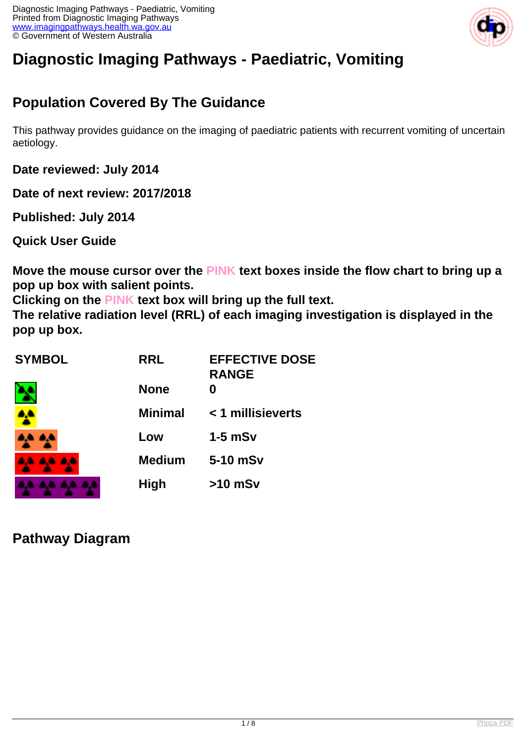

# **Diagnostic Imaging Pathways - Paediatric, Vomiting**

# **Population Covered By The Guidance**

This pathway provides guidance on the imaging of paediatric patients with recurrent vomiting of uncertain aetiology.

**Date reviewed: July 2014**

**Date of next review: 2017/2018**

**Published: July 2014** 

**Quick User Guide**

**Move the mouse cursor over the PINK text boxes inside the flow chart to bring up a pop up box with salient points.**

**Clicking on the PINK text box will bring up the full text.**

**The relative radiation level (RRL) of each imaging investigation is displayed in the pop up box.**

| <b>SYMBOL</b> | <b>RRL</b>     | <b>EFFECTIVE DOSE</b><br><b>RANGE</b> |
|---------------|----------------|---------------------------------------|
|               | <b>None</b>    | O                                     |
|               | <b>Minimal</b> | < 1 millisieverts                     |
|               | Low            | $1-5$ mSv                             |
| .             | <b>Medium</b>  | 5-10 mSv                              |
|               | <b>High</b>    | $>10$ mSv                             |

**Pathway Diagram**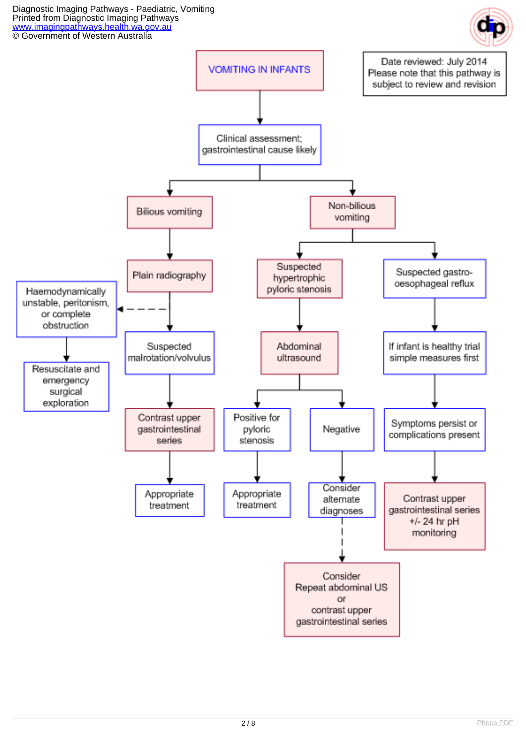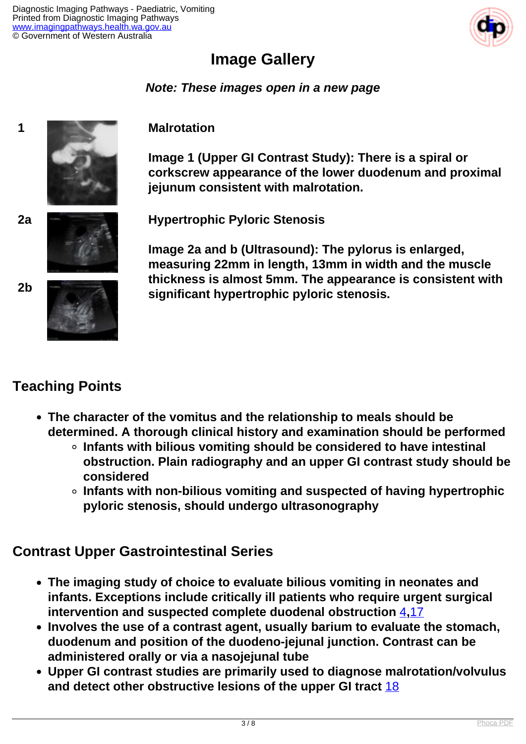

# **Image Gallery**

#### **Note: These images open in a new page**



## **Teaching Points**

- **The character of the vomitus and the relationship to meals should be determined. A thorough clinical history and examination should be performed**
	- **Infants with bilious vomiting should be considered to have intestinal obstruction. Plain radiography and an upper GI contrast study should be considered**
	- **Infants with non-bilious vomiting and suspected of having hypertrophic pyloric stenosis, should undergo ultrasonography**

## **Contrast Upper Gastrointestinal Series**

- **The imaging study of choice to evaluate bilious vomiting in neonates and infants. Exceptions include critically ill patients who require urgent surgical intervention and suspected complete duodenal obstruction** [4](index.php?option=com_content&view=article&id=187&tab=references#4)**,**[17](index.php?option=com_content&view=article&id=187&tab=references#17)
- **Involves the use of a contrast agent, usually barium to evaluate the stomach, duodenum and position of the duodeno-jejunal junction. Contrast can be administered orally or via a nasojejunal tube**
- **Upper GI contrast studies are primarily used to diagnose malrotation/volvulus and detect other obstructive lesions of the upper GI tract** [18](index.php?option=com_content&view=article&id=187&tab=references#18)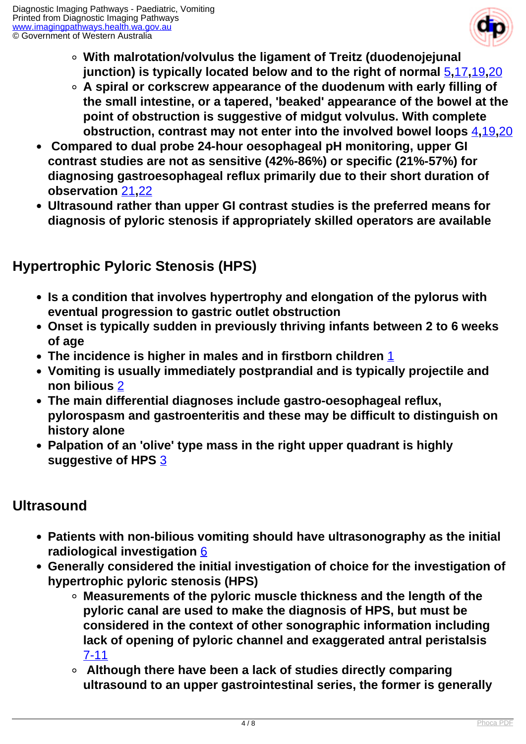

- **With malrotation/volvulus the ligament of Treitz (duodenojejunal junction) is typically located below and to the right of normal** [5](index.php?option=com_content&view=article&id=187&tab=references#5)**,**[17](index.php?option=com_content&view=article&id=187&tab=references#17)**,**[19](index.php?option=com_content&view=article&id=187&tab=references#19)**,**[20](index.php?option=com_content&view=article&id=187&tab=references#20)
- **A spiral or corkscrew appearance of the duodenum with early filling of the small intestine, or a tapered, 'beaked' appearance of the bowel at the point of obstruction is suggestive of midgut volvulus. With complete obstruction, contrast may not enter into the involved bowel loops** [4](index.php?option=com_content&view=article&id=187&tab=references#4)**,**[19](index.php?option=com_content&view=article&id=187&tab=references#19)**,**[20](index.php?option=com_content&view=article&id=187&tab=references#20)
- **Compared to dual probe 24-hour oesophageal pH monitoring, upper GI contrast studies are not as sensitive (42%-86%) or specific (21%-57%) for diagnosing gastroesophageal reflux primarily due to their short duration of observation** [21](index.php?option=com_content&view=article&id=187&tab=references#21)**,**[22](index.php?option=com_content&view=article&id=187&tab=references#22)
- **Ultrasound rather than upper GI contrast studies is the preferred means for diagnosis of pyloric stenosis if appropriately skilled operators are available**

# **Hypertrophic Pyloric Stenosis (HPS)**

- **Is a condition that involves hypertrophy and elongation of the pylorus with eventual progression to gastric outlet obstruction**
- **Onset is typically sudden in previously thriving infants between 2 to 6 weeks of age**
- **The incidence is higher in males and in firstborn children** [1](index.php?option=com_content&view=article&id=187&tab=references#1)
- **Vomiting is usually immediately postprandial and is typically projectile and non bilious** [2](index.php?option=com_content&view=article&id=187&tab=references#2)
- **The main differential diagnoses include gastro-oesophageal reflux, pylorospasm and gastroenteritis and these may be difficult to distinguish on history alone**
- **Palpation of an 'olive' type mass in the right upper quadrant is highly suggestive of HPS** [3](index.php?option=com_content&view=article&id=187&tab=references#3)

## **Ultrasound**

- **Patients with non-bilious vomiting should have ultrasonography as the initial radiological investigation** [6](index.php?option=com_content&view=article&id=187&tab=references#6)
- **Generally considered the initial investigation of choice for the investigation of hypertrophic pyloric stenosis (HPS)**
	- **Measurements of the pyloric muscle thickness and the length of the pyloric canal are used to make the diagnosis of HPS, but must be considered in the context of other sonographic information including lack of opening of pyloric channel and exaggerated antral peristalsis**  [7-11](index.php?option=com_content&view=article&id=187&tab=references#7)
	- **Although there have been a lack of studies directly comparing ultrasound to an upper gastrointestinal series, the former is generally**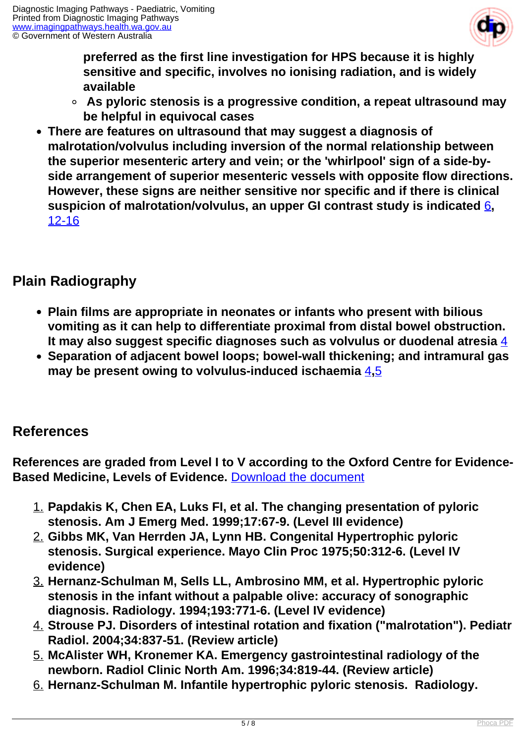

**preferred as the first line investigation for HPS because it is highly sensitive and specific, involves no ionising radiation, and is widely available**

- **As pyloric stenosis is a progressive condition, a repeat ultrasound may be helpful in equivocal cases**
- **There are features on ultrasound that may suggest a diagnosis of malrotation/volvulus including inversion of the normal relationship between the superior mesenteric artery and vein; or the 'whirlpool' sign of a side-byside arrangement of superior mesenteric vessels with opposite flow directions. However, these signs are neither sensitive nor specific and if there is clinical suspicion of malrotation/volvulus, an upper GI contrast study is indicated** [6](index.php?option=com_content&view=article&id=187&tab=references#6)**,** [12-16](index.php?option=com_content&view=article&id=187&tab=references#12)

## **Plain Radiography**

- **Plain films are appropriate in neonates or infants who present with bilious vomiting as it can help to differentiate proximal from distal bowel obstruction. It may also suggest specific diagnoses such as volvulus or duodenal atresia** [4](index.php?option=com_content&view=article&id=187&tab=references#4)
- **Separation of adjacent bowel loops; bowel-wall thickening; and intramural gas may be present owing to volvulus-induced ischaemia** [4](index.php?option=com_content&view=article&id=187&tab=references#4)**,**[5](index.php?option=com_content&view=article&id=187&tab=references#5)

## **References**

**References are graded from Level I to V according to the Oxford Centre for Evidence-Based Medicine, Levels of Evidence.** [Download the document](http://www.cebm.net/wp-content/uploads/2014/06/CEBM-Levels-of-Evidence-2.1.pdf)

- 1. **Papdakis K, Chen EA, Luks FI, et al. The changing presentation of pyloric stenosis. Am J Emerg Med. 1999;17:67-9. (Level III evidence)**
- 2. **Gibbs MK, Van Herrden JA, Lynn HB. Congenital Hypertrophic pyloric stenosis. Surgical experience. Mayo Clin Proc 1975;50:312-6. (Level IV evidence)**
- 3. **Hernanz-Schulman M, Sells LL, Ambrosino MM, et al. Hypertrophic pyloric stenosis in the infant without a palpable olive: accuracy of sonographic diagnosis. Radiology. 1994;193:771-6. (Level IV evidence)**
- 4. **Strouse PJ. Disorders of intestinal rotation and fixation ("malrotation"). Pediatr Radiol. 2004;34:837-51. (Review article)**
- 5. **McAlister WH, Kronemer KA. Emergency gastrointestinal radiology of the newborn. Radiol Clinic North Am. 1996;34:819-44. (Review article)**
- 6. **Hernanz-Schulman M. Infantile hypertrophic pyloric stenosis. Radiology.**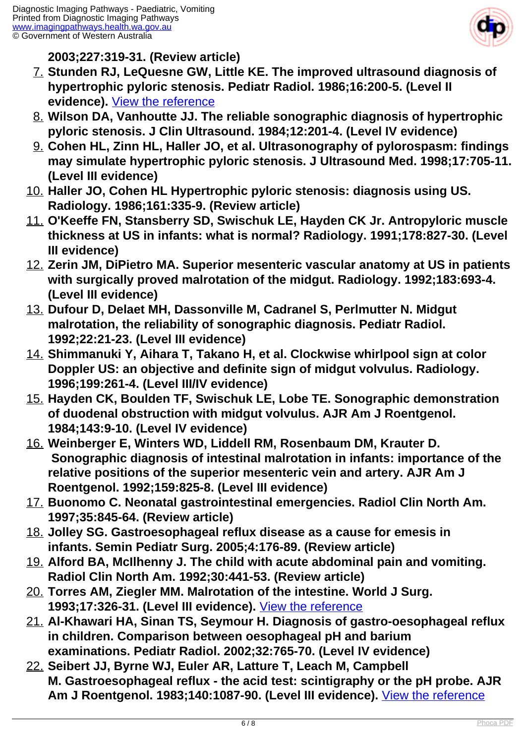

**2003;227:319-31. (Review article)**

- 7. **Stunden RJ, LeQuesne GW, Little KE. The improved ultrasound diagnosis of hypertrophic pyloric stenosis. Pediatr Radiol. 1986;16:200-5. (Level II evidence).** [View the reference](http://www.ncbi.nlm.nih.gov/entrez/query.fcgi?cmd=Retrieve&db=pubmed&dopt=Abstract&list_uids=3517794)
- 8. **Wilson DA, Vanhoutte JJ. The reliable sonographic diagnosis of hypertrophic pyloric stenosis. J Clin Ultrasound. 1984;12:201-4. (Level IV evidence)**
- 9. **Cohen HL, Zinn HL, Haller JO, et al. Ultrasonography of pylorospasm: findings may simulate hypertrophic pyloric stenosis. J Ultrasound Med. 1998;17:705-11. (Level III evidence)**
- 10. **Haller JO, Cohen HL Hypertrophic pyloric stenosis: diagnosis using US. Radiology. 1986;161:335-9. (Review article)**
- 11. **O'Keeffe FN, Stansberry SD, Swischuk LE, Hayden CK Jr. Antropyloric muscle thickness at US in infants: what is normal? Radiology. 1991;178:827-30. (Level III evidence)**
- 12. **Zerin JM, DiPietro MA. Superior mesenteric vascular anatomy at US in patients with surgically proved malrotation of the midgut. Radiology. 1992;183:693-4. (Level III evidence)**
- 13. **Dufour D, Delaet MH, Dassonville M, Cadranel S, Perlmutter N. Midgut malrotation, the reliability of sonographic diagnosis. Pediatr Radiol. 1992;22:21-23. (Level III evidence)**
- 14. **Shimmanuki Y, Aihara T, Takano H, et al. Clockwise whirlpool sign at color Doppler US: an objective and definite sign of midgut volvulus. Radiology. 1996;199:261-4. (Level III/IV evidence)**
- 15. **Hayden CK, Boulden TF, Swischuk LE, Lobe TE. Sonographic demonstration of duodenal obstruction with midgut volvulus. AJR Am J Roentgenol. 1984;143:9-10. (Level IV evidence)**
- 16. **Weinberger E, Winters WD, Liddell RM, Rosenbaum DM, Krauter D. Sonographic diagnosis of intestinal malrotation in infants: importance of the relative positions of the superior mesenteric vein and artery. AJR Am J Roentgenol. 1992;159:825-8. (Level III evidence)**
- 17. **Buonomo C. Neonatal gastrointestinal emergencies. Radiol Clin North Am. 1997;35:845-64. (Review article)**
- 18. **Jolley SG. Gastroesophageal reflux disease as a cause for emesis in infants. Semin Pediatr Surg. 2005;4:176-89. (Review article)**
- 19. **Alford BA, McIlhenny J. The child with acute abdominal pain and vomiting. Radiol Clin North Am. 1992;30:441-53. (Review article)**
- 20. **Torres AM, Ziegler MM. Malrotation of the intestine. World J Surg. 1993;17:326-31. (Level III evidence).** [View the reference](http://www.ncbi.nlm.nih.gov/entrez/query.fcgi?cmd=Retrieve&db=pubmed&dopt=Abstract&list_uids=8337878)
- 21. **Al-Khawari HA, Sinan TS, Seymour H. Diagnosis of gastro-oesophageal reflux in children. Comparison between oesophageal pH and barium examinations. Pediatr Radiol. 2002;32:765-70. (Level IV evidence)**
- 22. **Seibert JJ, Byrne WJ, Euler AR, Latture T, Leach M, Campbell M. Gastroesophageal reflux - the acid test: scintigraphy or the pH probe. AJR Am J Roentgenol. 1983;140:1087-90. (Level III evidence).** [View the reference](http://www.ncbi.nlm.nih.gov/entrez/query.fcgi?cmd=Retrieve&db=pubmed&dopt=Abstract&list_uids=6602471)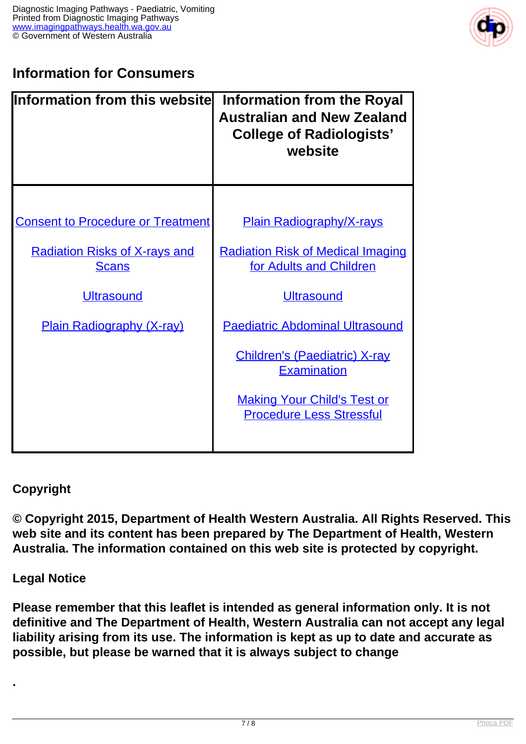

# **Information for Consumers**

| <b>Information from this websitel</b>                | <b>Information from the Royal</b><br><b>Australian and New Zealand</b><br><b>College of Radiologists'</b><br>website |
|------------------------------------------------------|----------------------------------------------------------------------------------------------------------------------|
| <b>Consent to Procedure or Treatment</b>             | <b>Plain Radiography/X-rays</b>                                                                                      |
| <b>Radiation Risks of X-rays and</b><br><b>Scans</b> | <b>Radiation Risk of Medical Imaging</b><br>for Adults and Children                                                  |
| <b>Ultrasound</b>                                    | <b>Ultrasound</b>                                                                                                    |
| <b>Plain Radiography (X-ray)</b>                     | <b>Paediatric Abdominal Ultrasound</b>                                                                               |
|                                                      | <b>Children's (Paediatric) X-ray</b><br><b>Examination</b>                                                           |
|                                                      | <b>Making Your Child's Test or</b><br><b>Procedure Less Stressful</b>                                                |

#### **Copyright**

**© Copyright 2015, Department of Health Western Australia. All Rights Reserved. This web site and its content has been prepared by The Department of Health, Western Australia. The information contained on this web site is protected by copyright.**

#### **Legal Notice**

**.** 

**Please remember that this leaflet is intended as general information only. It is not definitive and The Department of Health, Western Australia can not accept any legal liability arising from its use. The information is kept as up to date and accurate as possible, but please be warned that it is always subject to change**